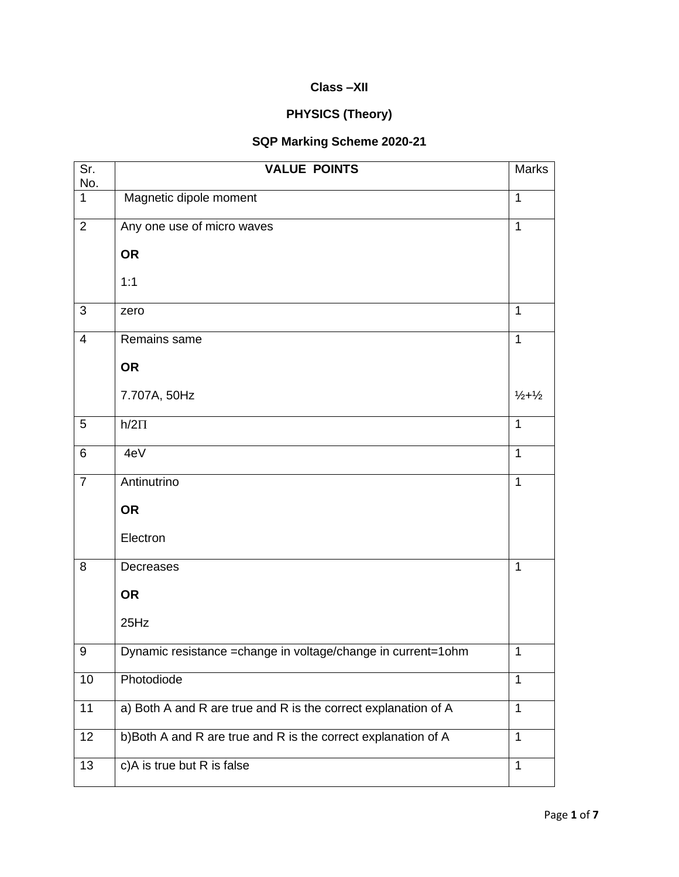## **Class –XII**

## **PHYSICS (Theory)**

## **SQP Marking Scheme 2020-21**

| Sr.                 | <b>VALUE POINTS</b>                                            | Marks                       |
|---------------------|----------------------------------------------------------------|-----------------------------|
| No.<br>$\mathbf{1}$ | Magnetic dipole moment                                         | $\mathbf{1}$                |
| $\overline{2}$      | Any one use of micro waves                                     | $\mathbf{1}$                |
|                     | <b>OR</b>                                                      |                             |
|                     | 1:1                                                            |                             |
| 3                   | zero                                                           | 1                           |
| $\overline{4}$      | Remains same                                                   | $\mathbf{1}$                |
|                     | <b>OR</b>                                                      |                             |
|                     | 7.707A, 50Hz                                                   | $\frac{1}{2} + \frac{1}{2}$ |
| 5                   | $h/2\Pi$                                                       | $\mathbf{1}$                |
| $\,6$               | 4eV                                                            | $\mathbf{1}$                |
| $\overline{7}$      | Antinutrino                                                    | $\mathbf{1}$                |
|                     | <b>OR</b>                                                      |                             |
|                     | Electron                                                       |                             |
| 8                   | Decreases                                                      | $\mathbf{1}$                |
|                     | <b>OR</b>                                                      |                             |
|                     | 25Hz                                                           |                             |
| $\boldsymbol{9}$    | Dynamic resistance = change in voltage/change in current=1ohm  | $\mathbf{1}$                |
| 10                  | Photodiode                                                     | $\mathbf{1}$                |
| 11                  | a) Both A and R are true and R is the correct explanation of A | 1                           |
| 12                  | b)Both A and R are true and R is the correct explanation of A  | $\mathbf{1}$                |
| 13                  | c)A is true but R is false                                     | $\mathbf{1}$                |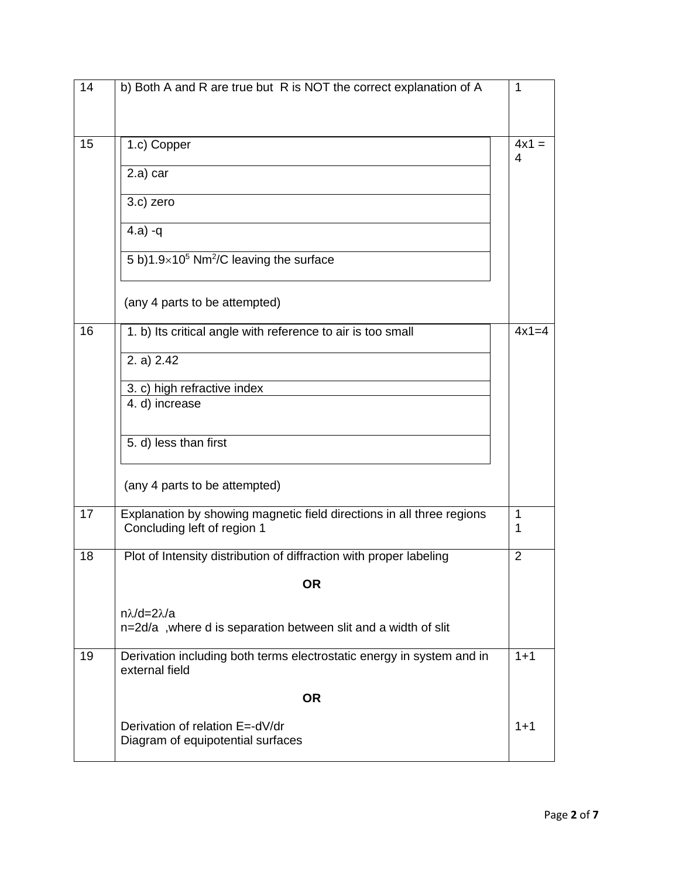| b) Both A and R are true but R is NOT the correct explanation of A                                   | $\mathbf{1}$                    |
|------------------------------------------------------------------------------------------------------|---------------------------------|
|                                                                                                      |                                 |
| 1.c) Copper                                                                                          | $4x1 =$<br>4                    |
| 2.a) car                                                                                             |                                 |
| 3.c) zero                                                                                            |                                 |
| $(4.a) -q$                                                                                           |                                 |
| 5 b)1.9×10 <sup>5</sup> Nm <sup>2</sup> /C leaving the surface                                       |                                 |
| (any 4 parts to be attempted)                                                                        |                                 |
| 1. b) Its critical angle with reference to air is too small                                          | $4x1=4$                         |
| 2. a) $2.42$                                                                                         |                                 |
| 3. c) high refractive index                                                                          |                                 |
| 4. d) increase                                                                                       |                                 |
| 5. d) less than first                                                                                |                                 |
| (any 4 parts to be attempted)                                                                        |                                 |
| Explanation by showing magnetic field directions in all three regions<br>Concluding left of region 1 | $\mathbf{1}$<br>1               |
| Plot of Intensity distribution of diffraction with proper labeling                                   | $\overline{2}$                  |
| <b>OR</b>                                                                                            |                                 |
| $n\lambda/d=2\lambda/a$                                                                              |                                 |
| n=2d/a, where d is separation between slit and a width of slit                                       |                                 |
| Derivation including both terms electrostatic energy in system and in<br>external field              | $1 + 1$                         |
| <b>OR</b>                                                                                            |                                 |
|                                                                                                      | $1 + 1$                         |
| Diagram of equipotential surfaces                                                                    |                                 |
|                                                                                                      | Derivation of relation E=-dV/dr |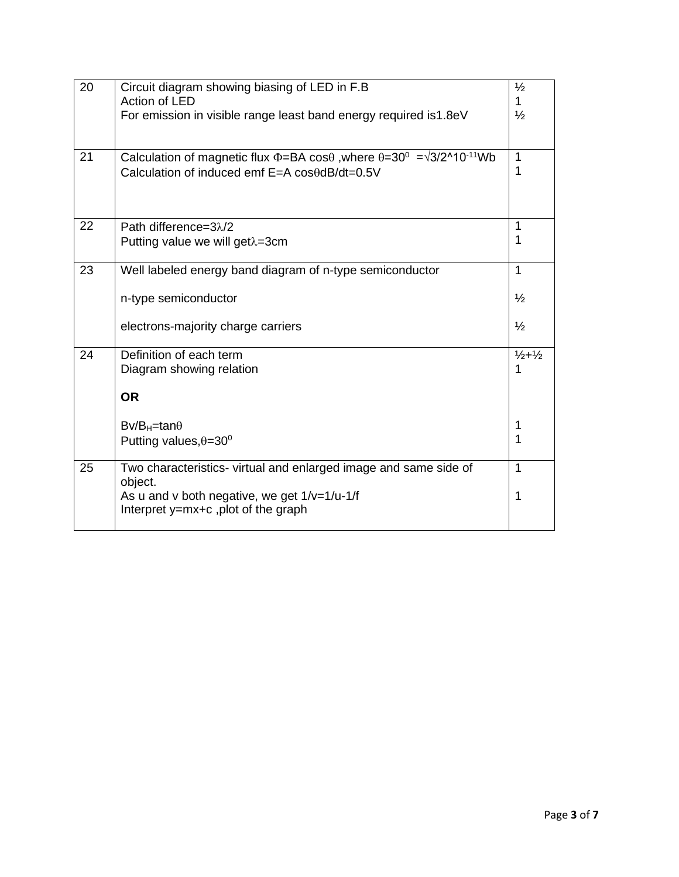| 20 | Circuit diagram showing biasing of LED in F.B<br>Action of LED                                                                                                                     | $\frac{1}{2}$<br>1                             |
|----|------------------------------------------------------------------------------------------------------------------------------------------------------------------------------------|------------------------------------------------|
|    | For emission in visible range least band energy required is 1.8eV                                                                                                                  | $\frac{1}{2}$                                  |
| 21 | Calculation of magnetic flux $\Phi$ =BA cos $\theta$ , where $\theta$ =30 <sup>0</sup> = $\sqrt{3}/2^{\circ}10^{-11}$ Wb<br>Calculation of induced emf $E=A \cos\theta dB/dt=0.5V$ | $\mathbf{1}$<br>1                              |
| 22 | Path difference=3λ/2<br>Putting value we will get $\lambda$ =3cm                                                                                                                   | 1<br>1                                         |
| 23 | Well labeled energy band diagram of n-type semiconductor<br>n-type semiconductor<br>electrons-majority charge carriers                                                             | $\mathbf{1}$<br>$\frac{1}{2}$<br>$\frac{1}{2}$ |
| 24 | Definition of each term<br>Diagram showing relation<br><b>OR</b><br>$Bv/B_H$ =tan $\theta$<br>Putting values, $\theta = 30^{\circ}$                                                | $\frac{1}{2} + \frac{1}{2}$<br>1<br>1<br>1     |
| 25 | Two characteristics- virtual and enlarged image and same side of<br>object.<br>As u and v both negative, we get $1/v=1/u-1/f$<br>Interpret y=mx+c, plot of the graph               | 1<br>1                                         |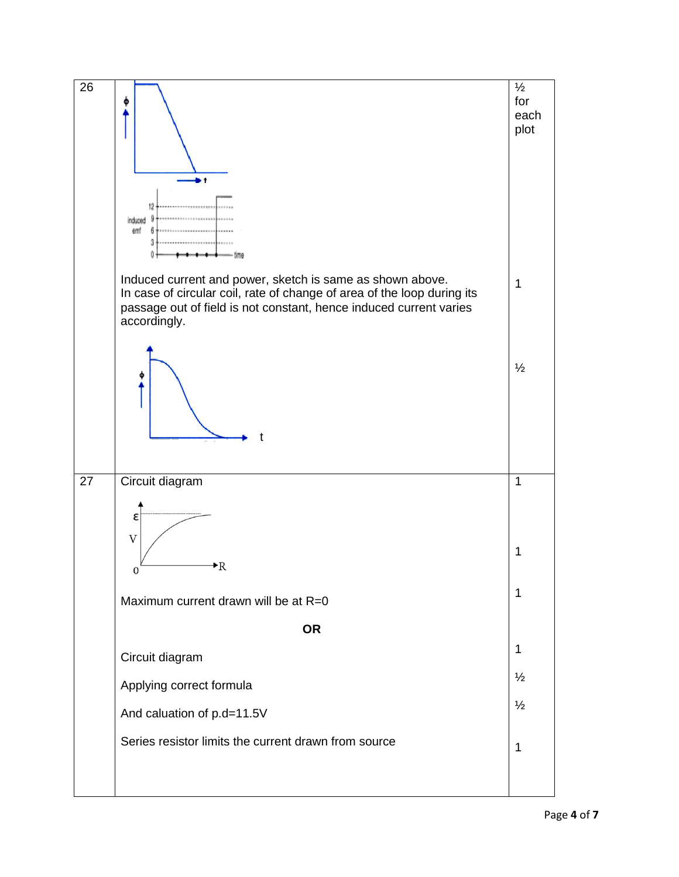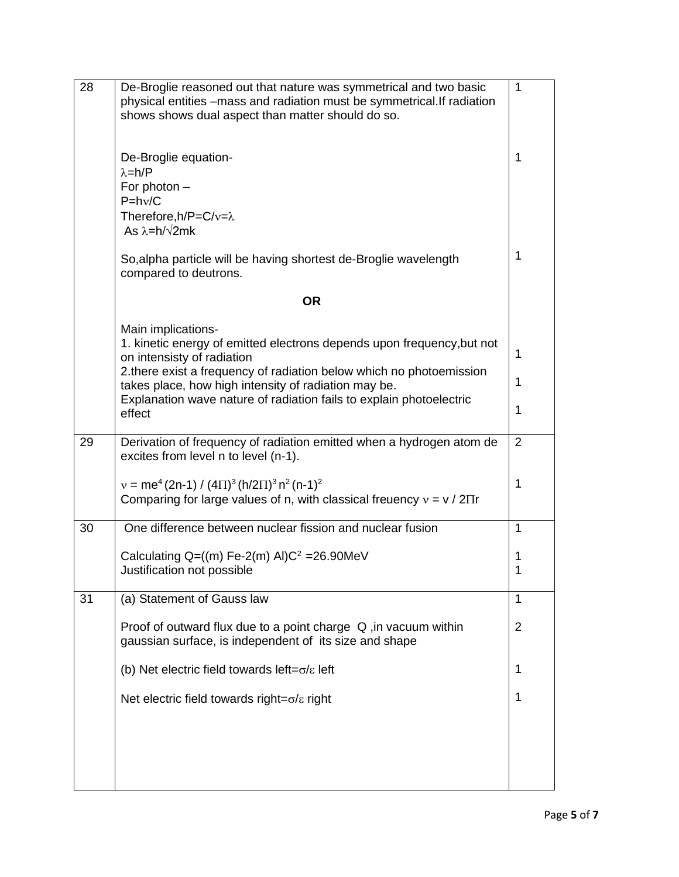| 28 | De-Broglie reasoned out that nature was symmetrical and two basic<br>physical entities -mass and radiation must be symmetrical. If radiation<br>shows shows dual aspect than matter should do so. | 1              |
|----|---------------------------------------------------------------------------------------------------------------------------------------------------------------------------------------------------|----------------|
|    | De-Broglie equation-<br>$\lambda = h/P$<br>For photon $-$<br>$P=hv/C$<br>Therefore, h/P=C/v= $\lambda$<br>As $\lambda = h/\sqrt{2mk}$                                                             | 1              |
|    | So, alpha particle will be having shortest de-Broglie wavelength<br>compared to deutrons.                                                                                                         | 1              |
|    | <b>OR</b>                                                                                                                                                                                         |                |
|    | Main implications-<br>1. kinetic energy of emitted electrons depends upon frequency, but not<br>on intensisty of radiation                                                                        | 1              |
|    | 2. there exist a frequency of radiation below which no photoemission<br>takes place, how high intensity of radiation may be.                                                                      | 1              |
|    | Explanation wave nature of radiation fails to explain photoelectric<br>effect                                                                                                                     | 1              |
| 29 | Derivation of frequency of radiation emitted when a hydrogen atom de<br>excites from level n to level (n-1).                                                                                      | 2              |
|    | $v = me^4 (2n-1) / (4 \Pi)^3 (h/2 \Pi)^3 n^2 (n-1)^2$<br>Comparing for large values of n, with classical freuency $v = v / 2\Pi r$                                                                | 1              |
| 30 | One difference between nuclear fission and nuclear fusion                                                                                                                                         | 1              |
|    | Calculating $Q=(m)$ Fe-2(m) AI) $C^2$ = 26.90MeV<br>Justification not possible                                                                                                                    | 1<br>1         |
| 31 | (a) Statement of Gauss law                                                                                                                                                                        | 1              |
|    | Proof of outward flux due to a point charge $Q$ , in vacuum within<br>gaussian surface, is independent of its size and shape                                                                      | $\overline{2}$ |
|    | (b) Net electric field towards left= $\sigma$ / $\epsilon$ left                                                                                                                                   | 1              |
|    | Net electric field towards right= $\sigma/\varepsilon$ right                                                                                                                                      | 1              |
|    |                                                                                                                                                                                                   |                |
|    |                                                                                                                                                                                                   |                |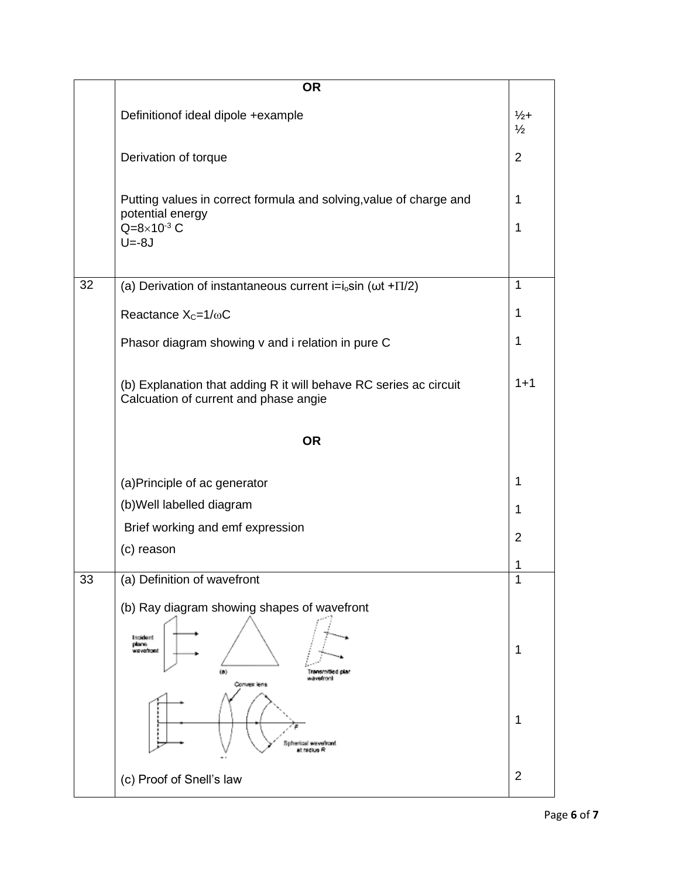|    | <b>OR</b>                                                                                                  |                                  |
|----|------------------------------------------------------------------------------------------------------------|----------------------------------|
|    | Definitionof ideal dipole +example                                                                         | $\frac{1}{2}$ +<br>$\frac{1}{2}$ |
|    | Derivation of torque                                                                                       | $\overline{2}$                   |
|    | Putting values in correct formula and solving, value of charge and<br>potential energy                     | 1                                |
|    | $Q = 8 \times 10^{-3}$ C<br>$U=-8J$                                                                        | 1                                |
| 32 | (a) Derivation of instantaneous current i= $i_0$ sin ( $\omega t$ + $\Pi/2$ )                              | $\mathbf{1}$                     |
|    | Reactance $X_c = 1/\omega C$                                                                               | 1                                |
|    | Phasor diagram showing v and i relation in pure C                                                          | 1                                |
|    | (b) Explanation that adding R it will behave RC series ac circuit<br>Calcuation of current and phase angie | $1 + 1$                          |
|    | <b>OR</b>                                                                                                  |                                  |
|    | (a) Principle of ac generator                                                                              | 1                                |
|    | (b) Well labelled diagram                                                                                  | 1                                |
|    | Brief working and emf expression                                                                           | $\overline{2}$                   |
|    | (c) reason                                                                                                 | 1                                |
| 33 | (a) Definition of wavefront                                                                                | 1                                |
|    | (b) Ray diagram showing shapes of wavefront                                                                |                                  |
|    | Incident<br>plane<br>wavefront<br>(8)<br>Transmitted plan<br>wavetroni<br>Convex lens                      | 1                                |
|    | Spherical wevefront<br>at radius R                                                                         | 1                                |
|    | (c) Proof of Snell's law                                                                                   | $\overline{2}$                   |